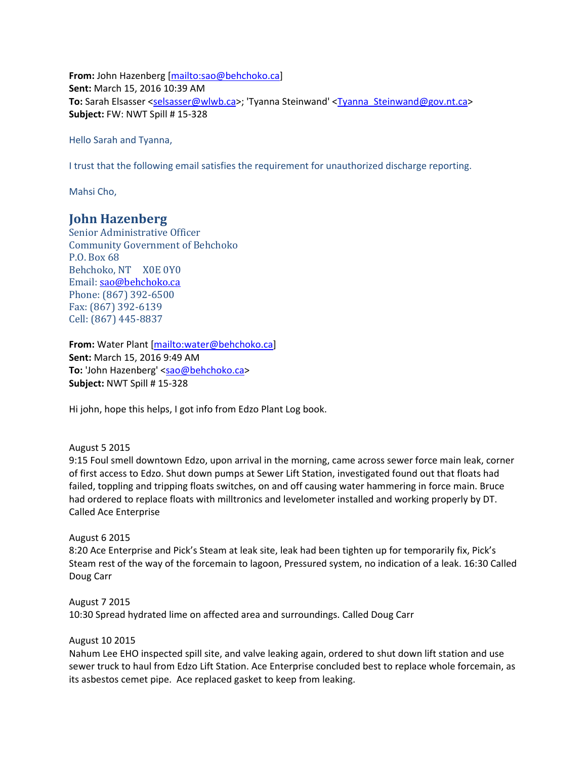**From:** John Hazenberg [\[mailto:sao@behchoko.ca\]](mailto:sao@behchoko.ca) **Sent:** March 15, 2016 10:39 AM To: Sarah Elsasser [<selsasser@wlwb.ca>](mailto:selsasser@wlwb.ca); 'Tyanna Steinwand' [<Tyanna\\_Steinwand@gov.nt.ca>](mailto:Tyanna_Steinwand@gov.nt.ca) **Subject:** FW: NWT Spill # 15-328

Hello Sarah and Tyanna,

I trust that the following email satisfies the requirement for unauthorized discharge reporting.

Mahsi Cho,

## **John Hazenberg**

Senior Administrative Officer Community Government of Behchoko P.O. Box 68 Behchoko, NT X0E 0Y0 Email: [sao@behchoko.ca](mailto:sao@behchoko.ca) Phone: (867) 392-6500 Fax: (867) 392-6139 Cell: (867) 445-8837

**From:** Water Plant [\[mailto:water@behchoko.ca\]](mailto:water@behchoko.ca) **Sent:** March 15, 2016 9:49 AM **To:** 'John Hazenberg' [<sao@behchoko.ca>](mailto:sao@behchoko.ca) **Subject:** NWT Spill # 15-328

Hi john, hope this helps, I got info from Edzo Plant Log book.

August 5 2015

9:15 Foul smell downtown Edzo, upon arrival in the morning, came across sewer force main leak, corner of first access to Edzo. Shut down pumps at Sewer Lift Station, investigated found out that floats had failed, toppling and tripping floats switches, on and off causing water hammering in force main. Bruce had ordered to replace floats with milltronics and levelometer installed and working properly by DT. Called Ace Enterprise

## August 6 2015

8:20 Ace Enterprise and Pick's Steam at leak site, leak had been tighten up for temporarily fix, Pick's Steam rest of the way of the forcemain to lagoon, Pressured system, no indication of a leak. 16:30 Called Doug Carr

August 7 2015 10:30 Spread hydrated lime on affected area and surroundings. Called Doug Carr

## August 10 2015

Nahum Lee EHO inspected spill site, and valve leaking again, ordered to shut down lift station and use sewer truck to haul from Edzo Lift Station. Ace Enterprise concluded best to replace whole forcemain, as its asbestos cemet pipe. Ace replaced gasket to keep from leaking.